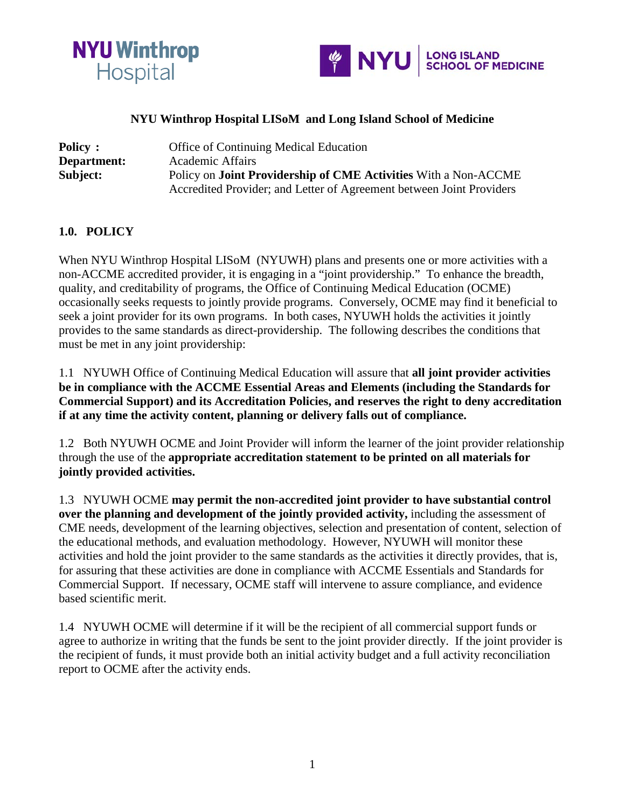



### **NYU Winthrop Hospital LISoM and Long Island School of Medicine**

| <b>Policy:</b> | <b>Office of Continuing Medical Education</b>                          |
|----------------|------------------------------------------------------------------------|
| Department:    | Academic Affairs                                                       |
| Subject:       | Policy on <b>Joint Providership of CME Activities</b> With a Non-ACCME |
|                | Accredited Provider; and Letter of Agreement between Joint Providers   |

#### **1.0. POLICY**

When NYU Winthrop Hospital LISoM (NYUWH) plans and presents one or more activities with a non-ACCME accredited provider, it is engaging in a "joint providership." To enhance the breadth, quality, and creditability of programs, the Office of Continuing Medical Education (OCME) occasionally seeks requests to jointly provide programs. Conversely, OCME may find it beneficial to seek a joint provider for its own programs. In both cases, NYUWH holds the activities it jointly provides to the same standards as direct-providership. The following describes the conditions that must be met in any joint providership:

1.1 NYUWH Office of Continuing Medical Education will assure that **all joint provider activities be in compliance with the ACCME Essential Areas and Elements (including the Standards for Commercial Support) and its Accreditation Policies, and reserves the right to deny accreditation if at any time the activity content, planning or delivery falls out of compliance.** 

1.2 Both NYUWH OCME and Joint Provider will inform the learner of the joint provider relationship through the use of the **appropriate accreditation statement to be printed on all materials for jointly provided activities.** 

1.3 NYUWH OCME **may permit the non-accredited joint provider to have substantial control over the planning and development of the jointly provided activity,** including the assessment of CME needs, development of the learning objectives, selection and presentation of content, selection of the educational methods, and evaluation methodology. However, NYUWH will monitor these activities and hold the joint provider to the same standards as the activities it directly provides, that is, for assuring that these activities are done in compliance with ACCME Essentials and Standards for Commercial Support. If necessary, OCME staff will intervene to assure compliance, and evidence based scientific merit.

1.4 NYUWH OCME will determine if it will be the recipient of all commercial support funds or agree to authorize in writing that the funds be sent to the joint provider directly. If the joint provider is the recipient of funds, it must provide both an initial activity budget and a full activity reconciliation report to OCME after the activity ends.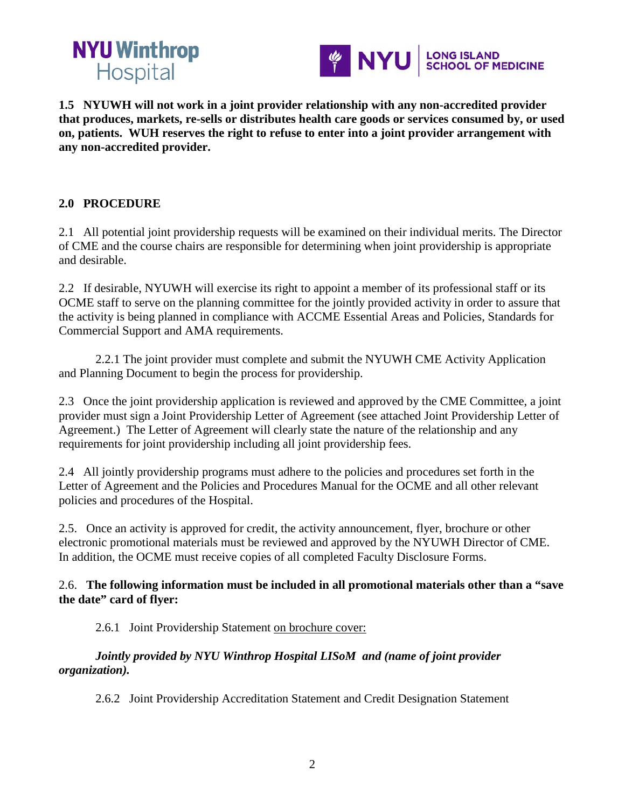



**1.5 NYUWH will not work in a joint provider relationship with any non-accredited provider that produces, markets, re-sells or distributes health care goods or services consumed by, or used on, patients. WUH reserves the right to refuse to enter into a joint provider arrangement with any non-accredited provider.** 

# **2.0 PROCEDURE**

2.1 All potential joint providership requests will be examined on their individual merits. The Director of CME and the course chairs are responsible for determining when joint providership is appropriate and desirable.

2.2 If desirable, NYUWH will exercise its right to appoint a member of its professional staff or its OCME staff to serve on the planning committee for the jointly provided activity in order to assure that the activity is being planned in compliance with ACCME Essential Areas and Policies, Standards for Commercial Support and AMA requirements.

2.2.1 The joint provider must complete and submit the NYUWH CME Activity Application and Planning Document to begin the process for providership.

2.3 Once the joint providership application is reviewed and approved by the CME Committee, a joint provider must sign a Joint Providership Letter of Agreement (see attached Joint Providership Letter of Agreement.) The Letter of Agreement will clearly state the nature of the relationship and any requirements for joint providership including all joint providership fees.

2.4 All jointly providership programs must adhere to the policies and procedures set forth in the Letter of Agreement and the Policies and Procedures Manual for the OCME and all other relevant policies and procedures of the Hospital.

2.5. Once an activity is approved for credit, the activity announcement, flyer, brochure or other electronic promotional materials must be reviewed and approved by the NYUWH Director of CME. In addition, the OCME must receive copies of all completed Faculty Disclosure Forms.

# 2.6. **The following information must be included in all promotional materials other than a "save the date" card of flyer:**

2.6.1 Joint Providership Statement on brochure cover:

# *Jointly provided by NYU Winthrop Hospital LISoM and (name of joint provider organization).*

2.6.2 Joint Providership Accreditation Statement and Credit Designation Statement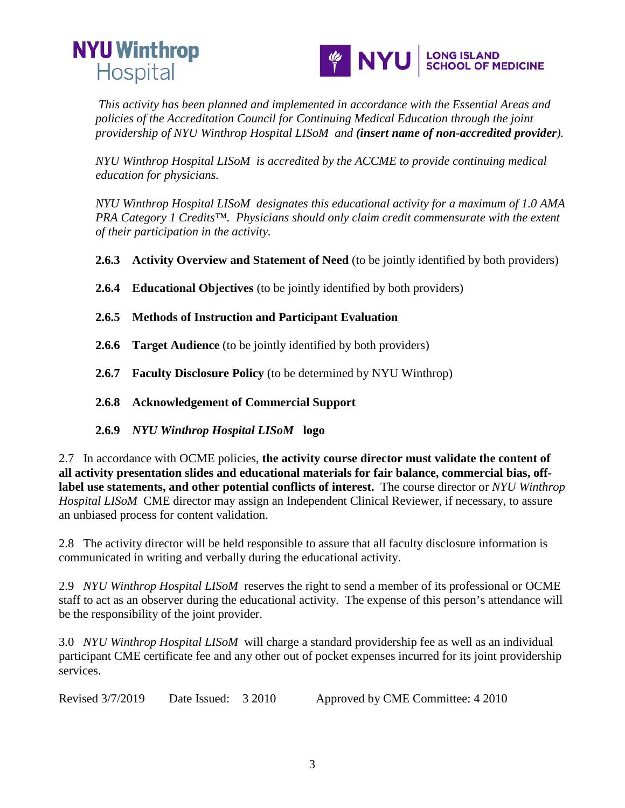



*This activity has been planned and implemented in accordance with the Essential Areas and policies of the Accreditation Council for Continuing Medical Education through the joint providership of NYU Winthrop Hospital LISoM and (insert name of non-accredited provider).* 

*NYU Winthrop Hospital LISoM is accredited by the ACCME to provide continuing medical education for physicians.* 

*NYU Winthrop Hospital LISoM designates this educational activity for a maximum of 1.0 AMA PRA Category 1 Credits™. Physicians should only claim credit commensurate with the extent of their participation in the activity.*

**2.6.3 Activity Overview and Statement of Need** (to be jointly identified by both providers)

**2.6.4 Educational Objectives** (to be jointly identified by both providers)

- **2.6.5 Methods of Instruction and Participant Evaluation**
- **2.6.6 Target Audience** (to be jointly identified by both providers)
- **2.6.7 Faculty Disclosure Policy** (to be determined by NYU Winthrop)
- **2.6.8 Acknowledgement of Commercial Support**
- **2.6.9** *NYU Winthrop Hospital LISoM* **logo**

2.7 In accordance with OCME policies, **the activity course director must validate the content of all activity presentation slides and educational materials for fair balance, commercial bias, offlabel use statements, and other potential conflicts of interest.** The course director or *NYU Winthrop Hospital LISoM* CME director may assign an Independent Clinical Reviewer, if necessary, to assure an unbiased process for content validation.

2.8 The activity director will be held responsible to assure that all faculty disclosure information is communicated in writing and verbally during the educational activity.

2.9 *NYU Winthrop Hospital LISoM* reserves the right to send a member of its professional or OCME staff to act as an observer during the educational activity. The expense of this person's attendance will be the responsibility of the joint provider.

3.0 *NYU Winthrop Hospital LISoM* will charge a standard providership fee as well as an individual participant CME certificate fee and any other out of pocket expenses incurred for its joint providership services.

Revised 3/7/2019 Date Issued: 3 2010 Approved by CME Committee: 4 2010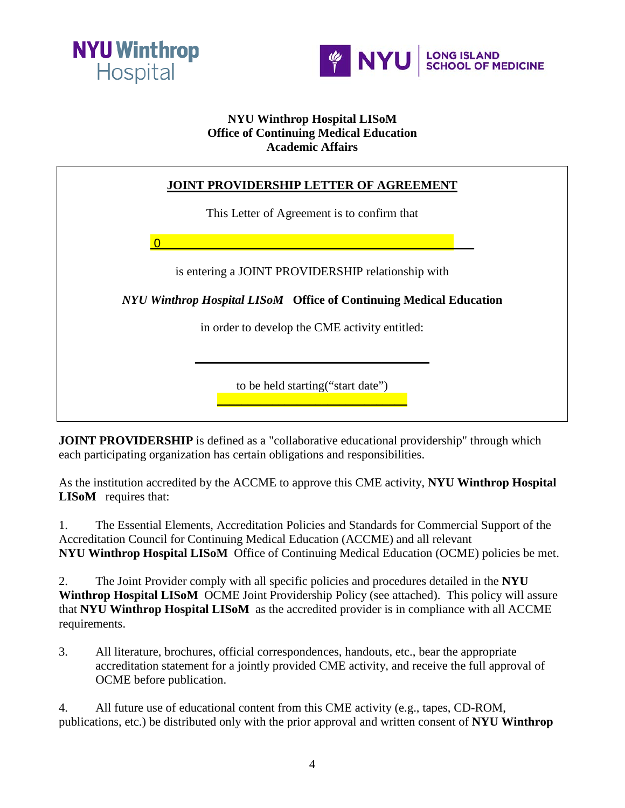



# **NYU Winthrop Hospital LISoM Office of Continuing Medical Education Academic Affairs**

| <b>JOINT PROVIDERSHIP LETTER OF AGREEMENT</b>                             |
|---------------------------------------------------------------------------|
| This Letter of Agreement is to confirm that                               |
|                                                                           |
| is entering a JOINT PROVIDERSHIP relationship with                        |
| <b>NYU Winthrop Hospital LISOM Office of Continuing Medical Education</b> |
| in order to develop the CME activity entitled:                            |
|                                                                           |
| to be held starting ("start date")                                        |

**JOINT PROVIDERSHIP** is defined as a "collaborative educational providership" through which each participating organization has certain obligations and responsibilities.

As the institution accredited by the ACCME to approve this CME activity, **NYU Winthrop Hospital LISOM** requires that:

1. The Essential Elements, Accreditation Policies and Standards for Commercial Support of the Accreditation Council for Continuing Medical Education (ACCME) and all relevant **NYU Winthrop Hospital LISoM** Office of Continuing Medical Education (OCME) policies be met.

2. The Joint Provider comply with all specific policies and procedures detailed in the **NYU Winthrop Hospital LISoM** OCME Joint Providership Policy (see attached). This policy will assure that **NYU Winthrop Hospital LISoM** as the accredited provider is in compliance with all ACCME requirements.

3. All literature, brochures, official correspondences, handouts, etc., bear the appropriate accreditation statement for a jointly provided CME activity, and receive the full approval of OCME before publication.

4. All future use of educational content from this CME activity (e.g., tapes, CD-ROM, publications, etc.) be distributed only with the prior approval and written consent of **NYU Winthrop**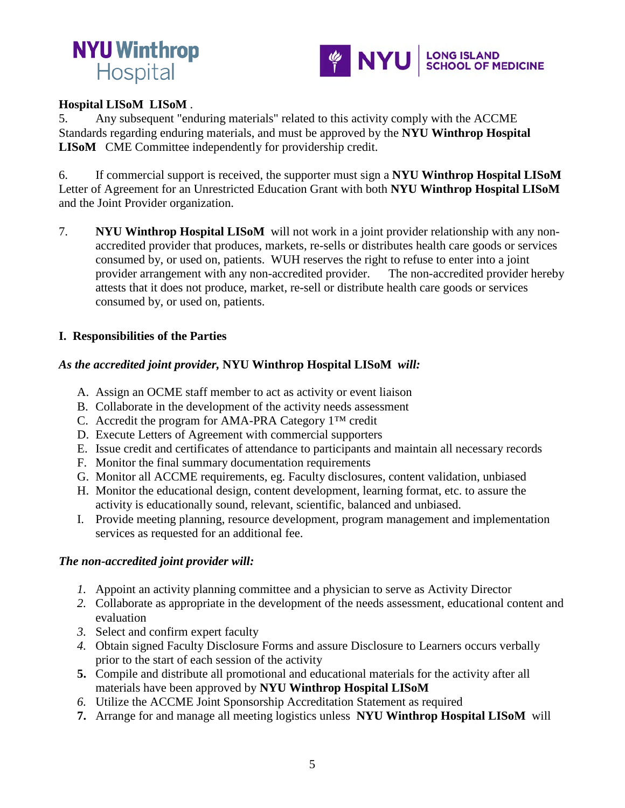



#### **Hospital LISoM LISoM** .

5. Any subsequent "enduring materials" related to this activity comply with the ACCME Standards regarding enduring materials, and must be approved by the **NYU Winthrop Hospital LISoM** CME Committee independently for providership credit.

6. If commercial support is received, the supporter must sign a **NYU Winthrop Hospital LISoM**  Letter of Agreement for an Unrestricted Education Grant with both **NYU Winthrop Hospital LISoM**  and the Joint Provider organization.

7. **NYU Winthrop Hospital LISoM** will not work in a joint provider relationship with any nonaccredited provider that produces, markets, re-sells or distributes health care goods or services consumed by, or used on, patients. WUH reserves the right to refuse to enter into a joint provider arrangement with any non-accredited provider. The non-accredited provider hereby attests that it does not produce, market, re-sell or distribute health care goods or services consumed by, or used on, patients.

#### **I. Responsibilities of the Parties**

#### *As the accredited joint provider,* **NYU Winthrop Hospital LISoM** *will:*

- A. Assign an OCME staff member to act as activity or event liaison
- B. Collaborate in the development of the activity needs assessment
- C. Accredit the program for AMA-PRA Category 1™ credit
- D. Execute Letters of Agreement with commercial supporters
- E. Issue credit and certificates of attendance to participants and maintain all necessary records
- F. Monitor the final summary documentation requirements
- G. Monitor all ACCME requirements, eg. Faculty disclosures, content validation, unbiased
- H. Monitor the educational design, content development, learning format, etc. to assure the activity is educationally sound, relevant, scientific, balanced and unbiased.
- I. Provide meeting planning, resource development, program management and implementation services as requested for an additional fee.

#### *The non-accredited joint provider will:*

- *1.* Appoint an activity planning committee and a physician to serve as Activity Director
- *2.* Collaborate as appropriate in the development of the needs assessment, educational content and evaluation
- *3.* Select and confirm expert faculty
- *4.* Obtain signed Faculty Disclosure Forms and assure Disclosure to Learners occurs verbally prior to the start of each session of the activity
- **5.** Compile and distribute all promotional and educational materials for the activity after all materials have been approved by **NYU Winthrop Hospital LISoM**
- *6.* Utilize the ACCME Joint Sponsorship Accreditation Statement as required
- **7.** Arrange for and manage all meeting logistics unless **NYU Winthrop Hospital LISoM** will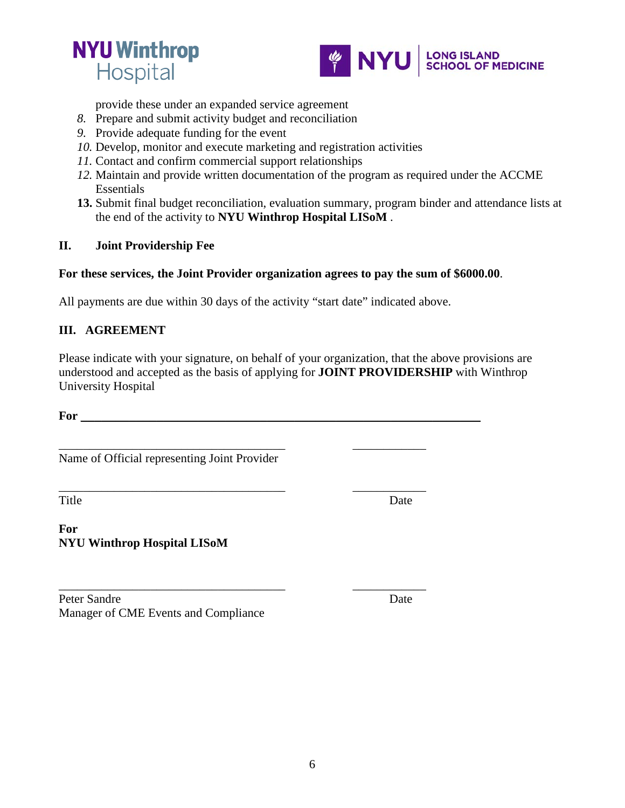



provide these under an expanded service agreement

- *8.* Prepare and submit activity budget and reconciliation
- *9.* Provide adequate funding for the event
- *10.* Develop, monitor and execute marketing and registration activities
- *11.* Contact and confirm commercial support relationships
- *12.* Maintain and provide written documentation of the program as required under the ACCME Essentials
- **13.** Submit final budget reconciliation, evaluation summary, program binder and attendance lists at the end of the activity to **NYU Winthrop Hospital LISoM** .

#### **II. Joint Providership Fee**

#### **For these services, the Joint Provider organization agrees to pay the sum of \$6000.00**.

All payments are due within 30 days of the activity "start date" indicated above.

\_\_\_\_\_\_\_\_\_\_\_\_\_\_\_\_\_\_\_\_\_\_\_\_\_\_\_\_\_\_\_\_\_\_\_\_\_ \_\_\_\_\_\_\_\_\_\_\_\_

\_\_\_\_\_\_\_\_\_\_\_\_\_\_\_\_\_\_\_\_\_\_\_\_\_\_\_\_\_\_\_\_\_\_\_\_\_ \_\_\_\_\_\_\_\_\_\_\_\_

# **III. AGREEMENT**

Please indicate with your signature, on behalf of your organization, that the above provisions are understood and accepted as the basis of applying for **JOINT PROVIDERSHIP** with Winthrop University Hospital

**For** \_\_\_\_\_\_\_\_\_\_\_\_\_\_\_\_\_\_\_\_\_\_\_\_\_\_\_\_\_\_\_\_\_\_\_\_\_\_\_\_\_\_\_\_\_\_\_\_\_\_\_\_\_\_\_\_\_\_

\_\_\_\_\_\_\_\_\_\_\_\_\_\_\_\_\_\_\_\_\_\_\_\_\_\_\_\_\_\_\_\_\_\_\_\_\_ \_\_\_\_\_\_\_\_\_\_\_\_ Name of Official representing Joint Provider

Title Date

**For NYU Winthrop Hospital LISoM** 

Peter Sandre Date Manager of CME Events and Compliance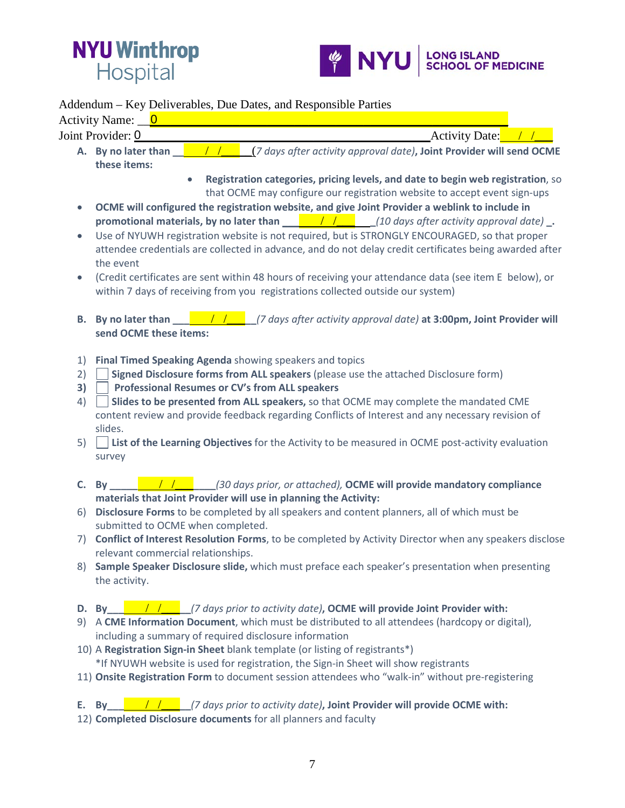



#### Addendum – Key Deliverables, Due Dates, and Responsible Parties

Activity Name: \_\_\_\_\_\_\_\_\_\_\_\_\_\_\_\_\_\_\_\_\_\_\_\_\_\_\_\_\_\_\_\_\_\_\_\_\_\_\_\_\_\_\_\_\_\_\_\_\_\_\_\_\_\_ 0

Joint Provider: \_\_\_\_\_\_\_\_\_\_\_\_\_\_\_\_\_\_\_\_\_\_\_\_\_\_\_\_\_\_\_\_\_\_\_\_\_\_\_\_\_\_\_Activity Date: / /\_\_\_ 0

- **A. By no later than \_\_** / /\_\_\_\_\_(*7 days after activity approval date)***, Joint Provider will send OCME these items:**
	- **Registration categories, pricing levels, and date to begin web registration**, so that OCME may configure our registration website to accept event sign-ups
- **OCME will configured the registration website, and give Joint Provider a weblink to include in promotional materials, by no later than** \_\_\_ / /\_\_\_ **\_***(10 days after activity approval date)* **\_.**
- Use of NYUWH registration website is not required, but is STRONGLY ENCOURAGED, so that proper attendee credentials are collected in advance, and do not delay credit certificates being awarded after the event
- (Credit certificates are sent within 48 hours of receiving your attendance data (see item E below), or within 7 days of receiving from you registrations collected outside our system)
- **B. By no later than \_\_\_ / /\_\_\_\_\_** /7 days after activity approval date) **at 3:00pm, Joint Provider will send OCME these items:**
- 1) **Final Timed Speaking Agenda** showing speakers and topics
- 2) **Signed Disclosure forms from ALL speakers** (please use the attached Disclosure form)
- **3) Professional Resumes or CV's from ALL speakers**
- 4) **Slides to be presented from ALL speakers,** so that OCME may complete the mandated CME content review and provide feedback regarding Conflicts of Interest and any necessary revision of slides.
- 5) **List of the Learning Objectives** for the Activity to be measured in OCME post-activity evaluation survey
- **C. By \_\_\_\_\_** / /\_\_\_**\_\_\_\_***(30 days prior, or attached),* **OCME will provide mandatory compliance materials that Joint Provider will use in planning the Activity:**
- 6) **Disclosure Forms** to be completed by all speakers and content planners, all of which must be submitted to OCME when completed.
- 7) **Conflict of Interest Resolution Forms**, to be completed by Activity Director when any speakers disclose relevant commercial relationships.
- 8) **Sample Speaker Disclosure slide,** which must preface each speaker's presentation when presenting the activity.

# **D. By\_\_\_** / /\_\_\_**\_\_***(7 days prior to activity date)***, OCME will provide Joint Provider with:**

- 9) A **CME Information Document**, which must be distributed to all attendees (hardcopy or digital), including a summary of required disclosure information
- 10) A **Registration Sign-in Sheet** blank template (or listing of registrants\*) \*If NYUWH website is used for registration, the Sign-in Sheet will show registrants
- 11) **Onsite Registration Form** to document session attendees who "walk-in" without pre-registering

# **E. By\_\_\_** / /\_\_\_**\_\_***(7 days prior to activity date)***, Joint Provider will provide OCME with:**

12) **Completed Disclosure documents** for all planners and faculty